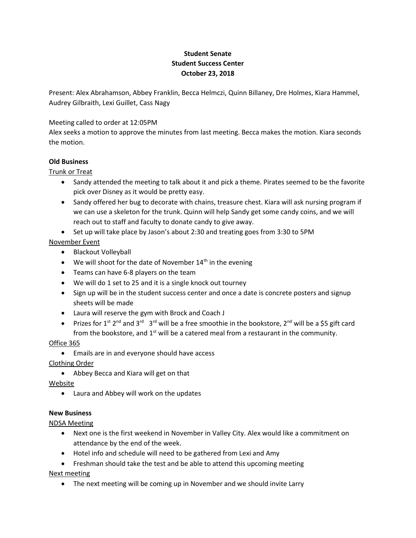# **Student Senate Student Success Center October 23, 2018**

Present: Alex Abrahamson, Abbey Franklin, Becca Helmczi, Quinn Billaney, Dre Holmes, Kiara Hammel, Audrey Gilbraith, Lexi Guillet, Cass Nagy

## Meeting called to order at 12:05PM

Alex seeks a motion to approve the minutes from last meeting. Becca makes the motion. Kiara seconds the motion.

### **Old Business**

### Trunk or Treat

- Sandy attended the meeting to talk about it and pick a theme. Pirates seemed to be the favorite pick over Disney as it would be pretty easy.
- Sandy offered her bug to decorate with chains, treasure chest. Kiara will ask nursing program if we can use a skeleton for the trunk. Quinn will help Sandy get some candy coins, and we will reach out to staff and faculty to donate candy to give away.
- Set up will take place by Jason's about 2:30 and treating goes from 3:30 to 5PM

## November Event

- Blackout Volleyball
- $\bullet$  We will shoot for the date of November 14<sup>th</sup> in the evening
- Teams can have 6-8 players on the team
- We will do 1 set to 25 and it is a single knock out tourney
- Sign up will be in the student success center and once a date is concrete posters and signup sheets will be made
- Laura will reserve the gym with Brock and Coach J
- Prizes for 1<sup>st</sup> 2<sup>nd</sup> and 3<sup>rd</sup> 3<sup>rd</sup> will be a free smoothie in the bookstore, 2<sup>nd</sup> will be a \$5 gift card from the bookstore, and  $1<sup>st</sup>$  will be a catered meal from a restaurant in the community.

## Office 365

Emails are in and everyone should have access

## Clothing Order

Abbey Becca and Kiara will get on that

Website

Laura and Abbey will work on the updates

## **New Business**

NDSA Meeting

- Next one is the first weekend in November in Valley City. Alex would like a commitment on attendance by the end of the week.
- Hotel info and schedule will need to be gathered from Lexi and Amy
- Freshman should take the test and be able to attend this upcoming meeting Next meeting
	- The next meeting will be coming up in November and we should invite Larry